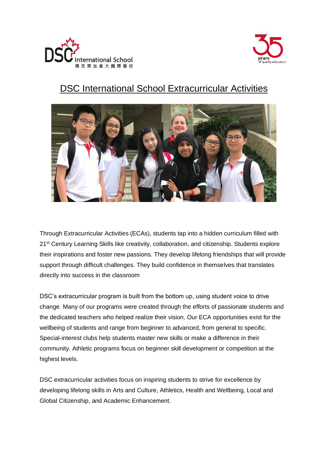



# DSC International School Extracurricular Activities



Through Extracurricular Activities (ECAs), students tap into a hidden curriculum filled with 21<sup>st</sup> Century Learning Skills like creativity, collaboration, and citizenship. Students explore their inspirations and foster new passions. They develop lifelong friendships that will provide support through difficult challenges. They build confidence in themselves that translates directly into success in the classroom

DSC's extracurricular program is built from the bottom up, using student voice to drive change. Many of our programs were created through the efforts of passionate students and the dedicated teachers who helped realize their vision. Our ECA opportunities exist for the wellbeing of students and range from beginner to advanced, from general to specific. Special-interest clubs help students master new skills or make a difference in their community. Athletic programs focus on beginner skill development or competition at the highest levels.

DSC extracurricular activities focus on inspiring students to strive for excellence by developing lifelong skills in Arts and Culture, Athletics, Health and Wellbeing, Local and Global Citizenship, and Academic Enhancement.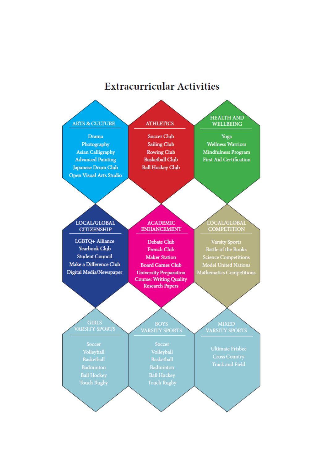# **Extracurricular Activities**

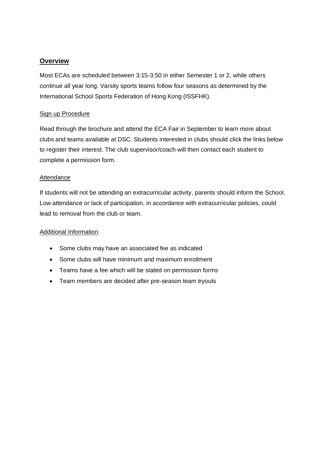#### **Overview**

Most ECAs are scheduled between 3:15-3:50 in either Semester 1 or 2, while others continue all year long. Varsity sports teams follow four seasons as determined by the International School Sports Federation of Hong Kong (ISSFHK).

#### Sign up Procedure

Read through the brochure and attend the ECA Fair in September to learn more about clubs and teams available at DSC. Students interested in clubs should click the links below to register their interest. The club supervisor/coach will then contact each student to complete a permission form.

#### Attendance

If students will not be attending an extracurricular activity, parents should inform the School. Low attendance or lack of participation, in accordance with extracurricular policies, could lead to removal from the club or team.

#### Additional Information

- Some clubs may have an associated fee as indicated
- Some clubs will have minimum and maximum enrollment
- Teams have a fee which will be stated on permission forms
- Team members are decided after pre-season team tryouts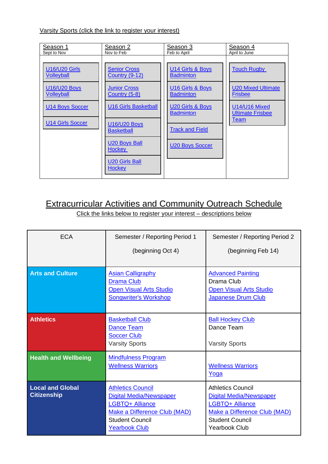Varsity Sports (click the link to register your interest)

| Season 1                                                                                                                            | Season 2                                                                                                                                                                                                                                                  | Season 3                                                                                                                                                                            | Season 4                                                                                                                     |
|-------------------------------------------------------------------------------------------------------------------------------------|-----------------------------------------------------------------------------------------------------------------------------------------------------------------------------------------------------------------------------------------------------------|-------------------------------------------------------------------------------------------------------------------------------------------------------------------------------------|------------------------------------------------------------------------------------------------------------------------------|
| Sept to Nov                                                                                                                         | Nov to Feb                                                                                                                                                                                                                                                | Feb to April                                                                                                                                                                        | April to June                                                                                                                |
| <b>U16/U20 Girls</b><br>Volleyball<br><b>U16/U20 Boys</b><br><u>Volleyball</u><br><b>U14 Boys Soccer</b><br><b>U14 Girls Soccer</b> | <b>Senior Cross</b><br><b>Country (9-12)</b><br><b>Junior Cross</b><br><b>Country (5-8)</b><br><b>U16 Girls Basketball</b><br><b>U16/U20 Boys</b><br><b>Basketball</b><br><b>U20 Boys Ball</b><br><u>Hockey</u><br><b>U20 Girls Ball</b><br><b>Hockey</b> | U14 Girls & Boys<br><b>Badminton</b><br><b>U16 Girls &amp; Boys</b><br><b>Badminton</b><br>U20 Girls & Boys<br><b>Badminton</b><br><b>Track and Field</b><br><b>U20 Boys Soccer</b> | <b>Touch Rugby</b><br><b>U20 Mixed Ultimate</b><br><b>Frisbee</b><br>U14/U16 Mixed<br><b>Ultimate Frisbee</b><br><u>Team</u> |

# Extracurricular Activities and Community Outreach Schedule

Click the links below to register your interest – descriptions below

| <b>ECA</b>                                    | Semester / Reporting Period 1                                                                                                                                          | Semester / Reporting Period 2                                                                                                                                          |  |
|-----------------------------------------------|------------------------------------------------------------------------------------------------------------------------------------------------------------------------|------------------------------------------------------------------------------------------------------------------------------------------------------------------------|--|
|                                               | (beginning Oct 4)                                                                                                                                                      | (beginning Feb 14)                                                                                                                                                     |  |
| <b>Arts and Culture</b>                       | <b>Asian Calligraphy</b><br><b>Drama Club</b><br><b>Open Visual Arts Studio</b><br><b>Songwriter's Workshop</b>                                                        | <b>Advanced Painting</b><br>Drama Club<br><b>Open Visual Arts Studio</b><br>Japanese Drum Club                                                                         |  |
| <b>Athletics</b>                              | <b>Basketball Club</b><br>Dance Team<br><b>Soccer Club</b><br><b>Varsity Sports</b>                                                                                    | <b>Ball Hockey Club</b><br>Dance Team<br><b>Varsity Sports</b>                                                                                                         |  |
| <b>Health and Wellbeing</b>                   | <b>Mindfulness Program</b><br><b>Wellness Warriors</b>                                                                                                                 | <b>Wellness Warriors</b><br>Yoga                                                                                                                                       |  |
| <b>Local and Global</b><br><b>Citizenship</b> | <b>Athletics Council</b><br><b>Digital Media/Newspaper</b><br><b>LGBTQ+ Alliance</b><br>Make a Difference Club (MAD)<br><b>Student Council</b><br><b>Yearbook Club</b> | <b>Athletics Council</b><br><b>Digital Media/Newspaper</b><br><b>LGBTQ+ Alliance</b><br>Make a Difference Club (MAD)<br><b>Student Council</b><br><b>Yearbook Club</b> |  |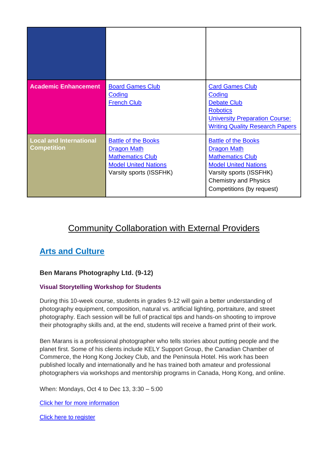| <b>Academic Enhancement</b>                          | <b>Board Games Club</b><br>Coding<br><b>French Club</b>                                                                               | <b>Card Games Club</b><br>Coding<br>Debate Club<br><b>Robotics</b><br><b>University Preparation Course:</b><br><b>Writing Quality Research Papers</b>                                              |
|------------------------------------------------------|---------------------------------------------------------------------------------------------------------------------------------------|----------------------------------------------------------------------------------------------------------------------------------------------------------------------------------------------------|
| <b>Local and International</b><br><b>Competition</b> | <b>Battle of the Books</b><br><b>Dragon Math</b><br><b>Mathematics Club</b><br><b>Model United Nations</b><br>Varsity sports (ISSFHK) | <b>Battle of the Books</b><br><b>Dragon Math</b><br><b>Mathematics Club</b><br><b>Model United Nations</b><br>Varsity sports (ISSFHK)<br><b>Chemistry and Physics</b><br>Competitions (by request) |

# Community Collaboration with External Providers

# **Arts and Culture**

#### **Ben Marans Photography Ltd. (9-12)**

#### **Visual Storytelling Workshop for Students**

During this 10-week course, students in grades 9-12 will gain a better understanding of photography equipment, composition, natural vs. artificial lighting, portraiture, and street photography. Each session will be full of practical tips and hands-on shooting to improve their photography skills and, at the end, students will receive a framed print of their work.

Ben Marans is a professional photographer who tells stories about putting people and the planet first. Some of his clients include KELY Support Group, the Canadian Chamber of Commerce, the Hong Kong Jockey Club, and the Peninsula Hotel. His work has been published locally and internationally and he has trained both amateur and professional photographers via workshops and mentorship programs in Canada, Hong Kong, and online.

When: Mondays, Oct 4 to Dec 13, 3:30 – 5:00

[Click her for more information](https://www.benmaransphotography.com/Visual-Storytelling-Workshops-Students)

[Click here to register](https://docs.google.com/forms/d/1oPMhZ-DQNxO2YitDBSxRRcg8eGF25ZTPZVt0B4vXirY/viewform?edit_requested=true)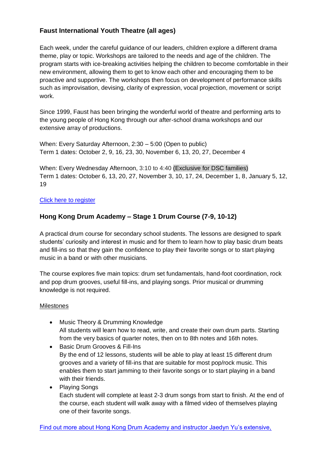#### **Faust International Youth Theatre (all ages)**

Each week, under the careful guidance of our leaders, children explore a different drama theme, play or topic. Workshops are tailored to the needs and age of the children. The program starts with ice-breaking activities helping the children to become comfortable in their new environment, allowing them to get to know each other and encouraging them to be proactive and supportive. The workshops then focus on development of performance skills such as improvisation, devising, clarity of expression, vocal projection, movement or script work.

Since 1999, Faust has been bringing the wonderful world of theatre and performing arts to the young people of Hong Kong through our after-school drama workshops and our extensive array of productions.

When: Every Saturday Afternoon, 2:30 – 5:00 (Open to public) Term 1 dates: October 2, 9, 16, 23, 30, November 6, 13, 20, 27, December 4

When: Every Wednesday Afternoon, 3:10 to 4:40 (Exclusive for DSC families) Term 1 dates: October 6, 13, 20, 27, November 3, 10, 17, 24, December 1, 8, January 5, 12, 19

#### [Click here](https://forms.gle/4iJFFoJomCxCVA1S6) to register

#### **Hong Kong Drum Academy – Stage 1 Drum Course (7-9, 10-12)**

A practical drum course for secondary school students. The lessons are designed to spark students' curiosity and interest in music and for them to learn how to play basic drum beats and fill-ins so that they gain the confidence to play their favorite songs or to start playing music in a band or with other musicians.

The course explores five main topics: drum set fundamentals, hand-foot coordination, rock and pop drum grooves, useful fill-ins, and playing songs. Prior musical or drumming knowledge is not required.

#### Milestones

- Music Theory & Drumming Knowledge All students will learn how to read, write, and create their own drum parts. Starting from the very basics of quarter notes, then on to 8th notes and 16th notes.
- Basic Drum Grooves & Fill-Ins By the end of 12 lessons, students will be able to play at least 15 different drum grooves and a variety of fill-ins that are suitable for most pop/rock music. This enables them to start jamming to their favorite songs or to start playing in a band with their friends.
- Playing Songs Each student will complete at least 2-3 drum songs from start to finish. At the end of the course, each student will walk away with a filmed video of themselves playing one of their favorite songs.

[Find out more about Hong Kong Drum Academy and instructor Jaedyn Yu's extensive,](https://www.hkdrumacademy.com/school)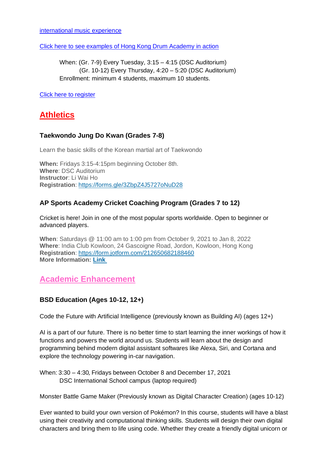[international music experience](https://www.hkdrumacademy.com/school)

[Click here to see examples of Hong Kong Drum Academy in action](https://docs.google.com/presentation/d/1-299aUlG5TpOQ8fvjxGERa4GS4EC-pnP/edit?usp=sharing&ouid=117415242419419470920&rtpof=true&sd=true)

When: (Gr. 7-9) Every Tuesday, 3:15 – 4:15 (DSC Auditorium) (Gr. 10-12) Every Thursday, 4:20 – 5:20 (DSC Auditorium) Enrollment: minimum 4 students, maximum 10 students.

[Click here to register](https://bit.ly/HKDA_DSC)

## **Athletics**

#### **Taekwondo Jung Do Kwan (Grades 7-8)**

Learn the basic skills of the Korean martial art of Taekwondo

**When:** Fridays 3:15-4:15pm beginning October 8th. **Where**: DSC Auditorium **Instructor**: Li Wai Ho **Registration**: [https://forms.gle/3ZbpZ4J5727oNuD28](http://email.dsceduhk.myenotice.com/c/eJwlzr0SgjAQBOCnIWUmORIIRQr_KCx8ABvnvASIEuJAKHx7UWe22NlmP2dN11RSsYhhDFN_C86WDQsWBEjRgBJaaQFc8qotK3PS-_0OZKsOx0IJt5B36_Dk8e2nlAN5TimywWr02jgtEQxhB0TKS0O1MJ12TYV3Ntoh59dSlLsC2i1dmuPC-9FvvbzeX1d11jXU6bIewTBKU0bKP1vNZvv43nhc_wS-GfjwZNlua1xuESfs_fwBTfJDPw)

#### **AP Sports Academy Cricket Coaching Program (Grades 7 to 12)**

Cricket is here! Join in one of the most popular sports worldwide. Open to beginner or advanced players.

**When**: Saturdays @ 11:00 am to 1:00 pm from October 9, 2021 to Jan 8, 2022 **Where**: India Club Kowloon, 24 Gascoigne Road, Jordon, Kowloon, Hong Kong **Registration**: [https://form.jotform.com/212650682188460](http://email.dsceduhk.myenotice.com/c/eJwljs0OwiAQhJ-mHMnuQun2wMG_voZBSi0qxbR48O1FTSaZZDKZ-UbLU29Qi-TiIy7Xcxyt6kW0BITQk4ZWt0ASpRmU4VO73-8IB304NhrGzYfxNd9leocll-iD9DmJ2XYX7lmDA0T2aoL6gK5DD2AUTKzEw86lPLdG7Roaqqa8JnnL5ed1o0aEZFowTMisDQifl-J8-QF2YrW3by-4159DVhA530WxNU3bObnFXcP6AbxkQpE) **More Information: [Link](http://email.dsceduhk.myenotice.com/c/eJwtjz1vwyAYhH-NGRFgDM7AkDjx1KmdOlmED5vEgGMgVf99aVrpHe65k17dadHbA8MUeOlWF-bJadEegBMEEYwOhKKOdohADNnYsv7SnU5Hgkc6nBuKdFJGl-UO_bcJMTtloIoeLKLX5tozLnnLNLdtJaot4RRfsbVaK7CKJectNe2xIWO93aRYdmUStC7INblsYDC5Js7L2aQq7CRLjg0ZHv9ifGLWEsowRrySNquTrzoVtuILevp9iVFuTiq5la9qnz-G8e3z8g5v2wxUDFmq_FrMwS5uv-WNLH_DYH0FlzvIoro-TV6GWmT_Ab85YjI)**

### **Academic Enhancement**

#### **BSD Education (Ages 10-12, 12+)**

Code the Future with Artificial Intelligence (previously known as Building AI) (ages 12+)

AI is a part of our future. There is no better time to start learning the inner workings of how it functions and powers the world around us. Students will learn about the design and programming behind modern digital assistant softwares like Alexa, Siri, and Cortana and explore the technology powering in-car navigation.

When: 3:30 – 4:30, Fridays between October 8 and December 17, 2021 DSC International School campus (laptop required)

Monster Battle Game Maker (Previously known as Digital Character Creation) (ages 10-12)

Ever wanted to build your own version of Pokémon? In this course, students will have a blast using their creativity and computational thinking skills. Students will design their own digital characters and bring them to life using code. Whether they create a friendly digital unicorn or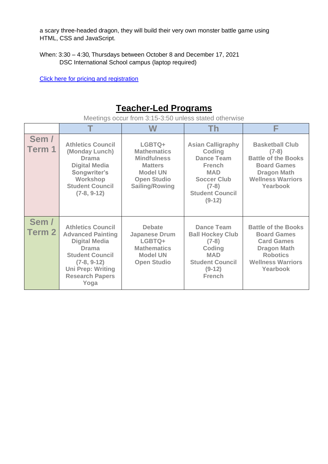a scary three-headed dragon, they will build their very own monster battle game using HTML, CSS and JavaScript.

When: 3:30 – 4:30, Thursdays between October 8 and December 17, 2021 DSC International School campus (laptop required)

[Click here for pricing and registration](https://virtualclasses.bsd.education/delia-school-of-canada-hong-kong/?q=deliaschoolcanadahk)

# **Teacher-Led Programs**

Meetings occur from 3:15-3:50 unless stated otherwise

|                            | ᅮ                                                                                                                                                                                                     | W                                                                                                                                      | <b>Th</b>                                                                                                                                                     |                                                                                                                                                        |
|----------------------------|-------------------------------------------------------------------------------------------------------------------------------------------------------------------------------------------------------|----------------------------------------------------------------------------------------------------------------------------------------|---------------------------------------------------------------------------------------------------------------------------------------------------------------|--------------------------------------------------------------------------------------------------------------------------------------------------------|
| Sem /<br>Term 1            | <b>Athletics Council</b><br>(Monday Lunch)<br><b>Drama</b><br><b>Digital Media</b><br>Songwriter's<br><b>Workshop</b><br><b>Student Council</b><br>$(7-8, 9-12)$                                      | LGBTQ+<br><b>Mathematics</b><br><b>Mindfulness</b><br><b>Matters</b><br><b>Model UN</b><br><b>Open Studio</b><br><b>Sailing/Rowing</b> | <b>Asian Calligraphy</b><br>Coding<br><b>Dance Team</b><br><b>French</b><br><b>MAD</b><br><b>Soccer Club</b><br>$(7-8)$<br><b>Student Council</b><br>$(9-12)$ | <b>Basketball Club</b><br>$(7-8)$<br><b>Battle of the Books</b><br><b>Board Games</b><br><b>Dragon Math</b><br><b>Wellness Warriors</b><br>Yearbook    |
| Sem /<br>Term <sub>2</sub> | <b>Athletics Council</b><br><b>Advanced Painting</b><br><b>Digital Media</b><br><b>Drama</b><br><b>Student Council</b><br>$(7-8, 9-12)$<br><b>Uni Prep: Writing</b><br><b>Research Papers</b><br>Yoga | <b>Debate</b><br><b>Japanese Drum</b><br>LGBTQ+<br><b>Mathematics</b><br><b>Model UN</b><br><b>Open Studio</b>                         | <b>Dance Team</b><br><b>Ball Hockey Club</b><br>$(7-8)$<br>Coding<br><b>MAD</b><br><b>Student Council</b><br>$(9-12)$<br><b>French</b>                        | <b>Battle of the Books</b><br><b>Board Games</b><br><b>Card Games</b><br><b>Dragon Math</b><br><b>Robotics</b><br><b>Wellness Warriors</b><br>Yearbook |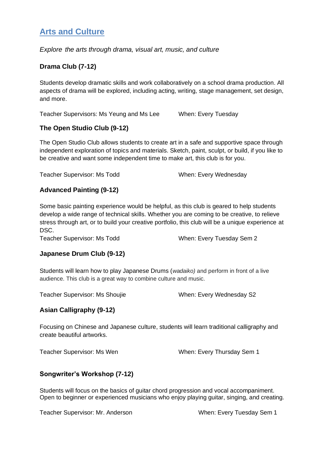## **Arts and Culture**

*Explore the arts through drama, visual art, music, and culture* 

#### **Drama Club (7-12)**

Students develop dramatic skills and work collaboratively on a school drama production. All aspects of drama will be explored, including acting, writing, stage management, set design, and more.

Teacher Supervisors: Ms Yeung and Ms Lee When: Every Tuesday

#### **The Open Studio Club (9-12)**

The Open Studio Club allows students to create art in a safe and supportive space through independent exploration of topics and materials. Sketch, paint, sculpt, or build, if you like to be creative and want some independent time to make art, this club is for you.

Teacher Supervisor: Ms Todd When: Every Wednesday

#### **Advanced Painting (9-12)**

Some basic painting experience would be helpful, as this club is geared to help students develop a wide range of technical skills. Whether you are coming to be creative, to relieve stress through art, or to build your creative portfolio, this club will be a unique experience at DSC.

Teacher Supervisor: Ms Todd When: Every Tuesday Sem 2

#### **Japanese Drum Club (9-12)**

Students will learn how to play Japanese Drums (*wadaiko)* and perform in front of a live audience. This club is a great way to combine culture and music.

Teacher Supervisor: Ms Shoujie When: Every Wednesday S2

#### **Asian Calligraphy (9-12)**

Focusing on Chinese and Japanese culture, students will learn traditional calligraphy and create beautiful artworks.

Teacher Supervisor: Ms Wen When: Every Thursday Sem 1

#### **Songwriter's Workshop (7-12)**

Students will focus on the basics of guitar chord progression and vocal accompaniment. Open to beginner or experienced musicians who enjoy playing guitar, singing, and creating.

Teacher Supervisor: Mr. Anderson When: Every Tuesday Sem 1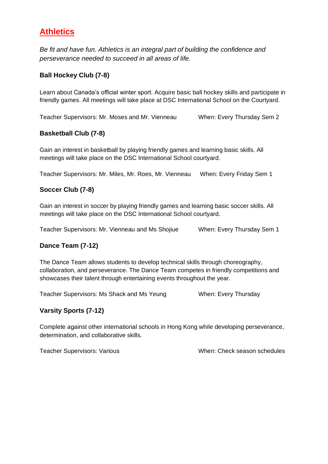# **Athletics**

*Be fit and have fun. Athletics is an integral part of building the confidence and perseverance needed to succeed in all areas of life.* 

#### **Ball Hockey Club (7-8)**

Learn about Canada's official winter sport. Acquire basic ball hockey skills and participate in friendly games. All meetings will take place at DSC International School on the Courtyard.

Teacher Supervisors: Mr. Moses and Mr. Vienneau When: Every Thursday Sem 2

#### **Basketball Club (7-8)**

Gain an interest in basketball by playing friendly games and learning basic skills. All meetings will take place on the DSC International School courtyard.

Teacher Supervisors: Mr. Miles, Mr. Roes, Mr. Vienneau When: Every Friday Sem 1

#### **Soccer Club (7-8)**

Gain an interest in soccer by playing friendly games and learning basic soccer skills. All meetings will take place on the DSC International School courtyard.

Teacher Supervisors: Mr. Vienneau and Ms Shojiue When: Every Thursday Sem 1

#### **Dance Team (7-12)**

The Dance Team allows students to develop technical skills through choreography, collaboration, and perseverance. The Dance Team competes in friendly competitions and showcases their talent through entertaining events throughout the year.

Teacher Supervisors: Ms Shack and Ms Yeung When: Every Thursday

#### **Varsity Sports (7-12)**

Complete against other international schools in Hong Kong while developing perseverance, determination, and collaborative skills.

Teacher Supervisors: Various When: Check season schedules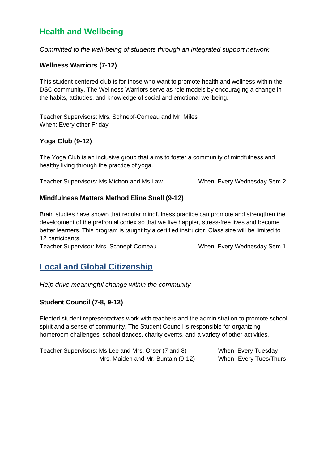# **Health and Wellbeing**

*Committed to the well-being of students through an integrated support network*

#### **Wellness Warriors (7-12)**

This student-centered club is for those who want to promote health and wellness within the DSC community. The Wellness Warriors serve as role models by encouraging a change in the habits, attitudes, and knowledge of social and emotional wellbeing.

Teacher Supervisors: Mrs. Schnepf-Comeau and Mr. Miles When: Every other Friday

#### **Yoga Club (9-12)**

The Yoga Club is an inclusive group that aims to foster a community of mindfulness and healthy living through the practice of yoga.

Teacher Supervisors: Ms Michon and Ms Law When: Every Wednesday Sem 2

#### **Mindfulness Matters Method Eline Snell (9-12)**

Brain studies have shown that regular mindfulness practice can promote and strengthen the development of the prefrontal cortex so that we live happier, stress-free lives and become better learners. This program is taught by a certified instructor. Class size will be limited to 12 participants.

Teacher Supervisor: Mrs. Schnepf-Comeau When: Every Wednesday Sem 1

### **Local and Global Citizenship**

*Help drive meaningful change within the community*

#### **Student Council (7-8, 9-12)**

Elected student representatives work with teachers and the administration to promote school spirit and a sense of community. The Student Council is responsible for organizing homeroom challenges, school dances, charity events, and a variety of other activities.

| Teacher Supervisors: Ms Lee and Mrs. Orser (7 and 8) | When: Every Tuesday           |
|------------------------------------------------------|-------------------------------|
| Mrs. Maiden and Mr. Buntain (9-12)                   | <b>When: Every Tues/Thurs</b> |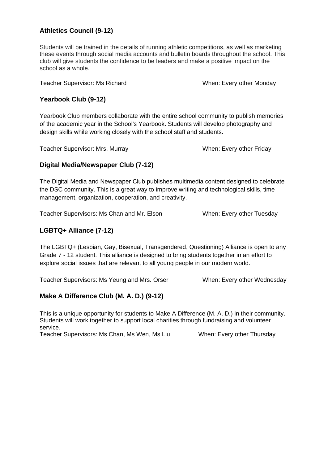#### **Athletics Council (9-12)**

Students will be trained in the details of running athletic competitions, as well as marketing these events through social media accounts and bulletin boards throughout the school. This club will give students the confidence to be leaders and make a positive impact on the school as a whole.

Teacher Supervisor: Ms Richard When: Every other Monday

#### **Yearbook Club (9-12)**

Yearbook Club members collaborate with the entire school community to publish memories of the academic year in the School's Yearbook. Students will develop photography and design skills while working closely with the school staff and students.

Teacher Supervisor: Mrs. Murray When: Every other Friday

#### **Digital Media/Newspaper Club (7-12)**

The Digital Media and Newspaper Club publishes multimedia content designed to celebrate the DSC community. This is a great way to improve writing and technological skills, time management, organization, cooperation, and creativity.

Teacher Supervisors: Ms Chan and Mr. Elson When: Every other Tuesday

#### **LGBTQ+ Alliance (7-12)**

The LGBTQ+ (Lesbian, Gay, Bisexual, Transgendered, Questioning) Alliance is open to any Grade 7 - 12 student. This alliance is designed to bring students together in an effort to explore social issues that are relevant to all young people in our modern world.

Teacher Supervisors: Ms Yeung and Mrs. Orser When: Every other Wednesday

#### **Make A Difference Club (M. A. D.) (9-12)**

This is a unique opportunity for students to Make A Difference (M. A. D.) in their community. Students will work together to support local charities through fundraising and volunteer service.

Teacher Supervisors: Ms Chan, Ms Wen, Ms Liu When: Every other Thursday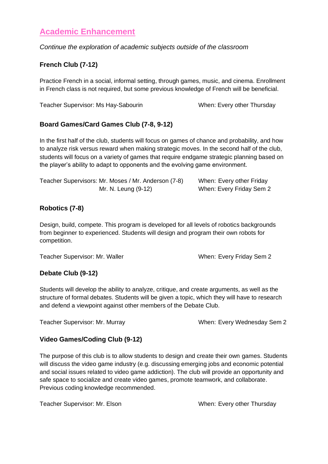### **Academic Enhancement**

*Continue the exploration of academic subjects outside of the classroom*

#### **French Club (7-12)**

Practice French in a social, informal setting, through games, music, and cinema. Enrollment in French class is not required, but some previous knowledge of French will be beneficial.

Teacher Supervisor: Ms Hay-Sabourin When: Every other Thursday

#### **Board Games/Card Games Club (7-8, 9-12)**

In the first half of the club, students will focus on games of chance and probability, and how to analyze risk versus reward when making strategic moves. In the second half of the club, students will focus on a variety of games that require endgame strategic planning based on the player's ability to adapt to opponents and the evolving game environment.

| Teacher Supervisors: Mr. Moses / Mr. Anderson (7-8) | When: Every other Friday |
|-----------------------------------------------------|--------------------------|
| Mr. N. Leung (9-12)                                 | When: Every Friday Sem 2 |

#### **Robotics (7-8)**

Design, build, compete. This program is developed for all levels of robotics backgrounds from beginner to experienced. Students will design and program their own robots for competition.

Teacher Supervisor: Mr. Waller When: Every Friday Sem 2

#### **Debate Club (9-12)**

Students will develop the ability to analyze, critique, and create arguments, as well as the structure of formal debates. Students will be given a topic, which they will have to research and defend a viewpoint against other members of the Debate Club.

Teacher Supervisor: Mr. Murray When: Every Wednesday Sem 2

#### **Video Games/Coding Club (9-12)**

The purpose of this club is to allow students to design and create their own games. Students will discuss the video game industry (e.g. discussing emerging jobs and economic potential and social issues related to video game addiction). The club will provide an opportunity and safe space to socialize and create video games, promote teamwork, and collaborate. Previous coding knowledge recommended.

Teacher Supervisor: Mr. Elson When: Every other Thursday